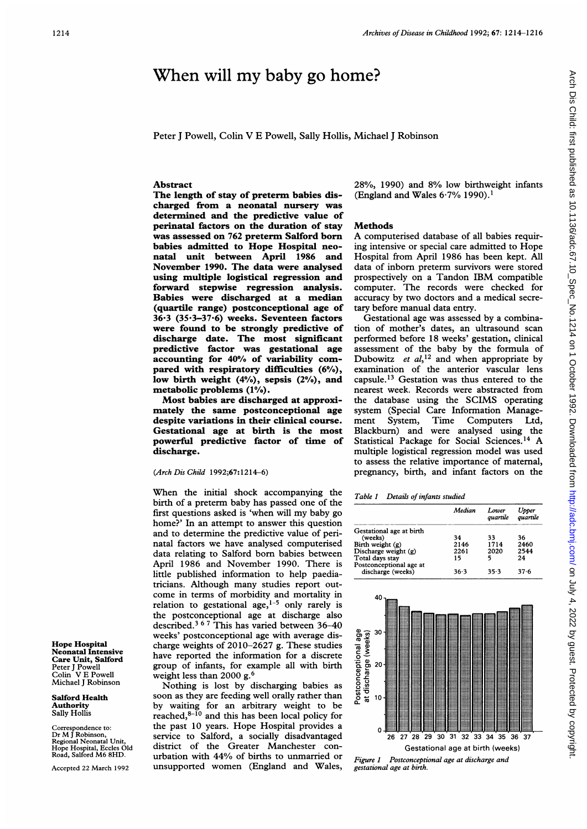# When will my baby go home?

Peter J Powell, Colin V E Powell, Sally Hollis, Michael J Robinson

### Abstract

The length of stay of preterm babies discharged from a neonatal nursery was determined and the predictive value of perinatal factors on the duration of stay was assessed on 762 preterm Salford born babies admitted to Hope Hospital neonatal unit between April 1986 and November 1990. The data were analysed using multiple logistical regression and forward stepwise regression analysis. Babies were discharged at a median (quartile range) postconceptional age of 36\*3 (35-3-37.6) weeks. Seventeen factors were found to be strongly predictive of discharge date. The most significant predictive factor was gestational age accounting for 40% of variability compared with respiratory difficulties (6%), low birth weight (4%), sepsis (2%), and metabolic problems (1%).

Most babies are discharged at approximately the same postconceptional age despite variations in their clinical course. Gestational age at birth is the most powerfil predictive factor of time of discharge.

#### (Arch Dis Child 1992;67:1214-6)

When the initial shock accompanying the birth of a preterm baby has passed one of the first questions asked is 'when will my baby go home?' In an attempt to answer this question and to determine the predictive value of perinatal factors we have analysed computerised data relating to Salford born babies between April 1986 and November 1990. There is little published information to help paediatricians. Although many studies report outcome in terms of morbidity and mortality in relation to gestational age,  $1-5$  only rarely is the postconceptional age at discharge also described.<sup>3 6 7</sup> This has varied between 36-40 weeks' postconceptional age with average discharge weights of 2010-2627 g. These studies have reported the information for a discrete group of infants, for example all with birth weight less than 2000 g.<sup>6</sup>

Nothing is lost by discharging babies as soon as they are feeding well orally rather than by waiting for an arbitrary weight to be reached, $8-10$  and this has been local policy for the past 10 years. Hope Hospital provides <sup>a</sup> service to Salford, a socially disadvantaged district of the Greater Manchester conurbation with 44% of births to unmarried or unsupported women (England and Wales,

28%, 1990) and 8% low birthweight infants (England and Wales 6-7% 1990).'

### Methods

A computerised database of all babies requiring intensive or special care admitted to Hope Hospital from April 1986 has been kept. All data of inborn preterm survivors were stored prospectively on <sup>a</sup> Tandon IBM compatible computer. The records were checked for accuracy by two doctors and a medical secretary before manual data entry.

Gestational age was assessed by a combination of mother's dates, an ultrasound scan performed before 18 weeks' gestation, clinical assessment of the baby by the formula of Dubowitz et  $a l$ <sup>12</sup> and when appropriate by examination of the anterior vascular lens capsule.<sup>13</sup> Gestation was thus entered to the nearest week. Records were abstracted from the database using the SCIMS operating system (Special Care Information Management System, Time Computers Ltd, Blackburn) and were analysed using the Statistical Package for Social Sciences.14 A multiple logistical regression model was used to assess the relative importance of maternal, pregnancy, birth, and infant factors on the

Table 1 Details of infants studied

|                          | Median   | Lower<br>quartile | Upper<br>quartile |
|--------------------------|----------|-------------------|-------------------|
| Gestational age at birth |          |                   |                   |
| (weeks)                  | 34       | 33                | 36                |
| Birth weight (g)         | 2146     | 1714              | 2460              |
| Discharge weight $(g)$   | 2261     | 2020              | 2544              |
| Total days stay          | 15       | 5                 | 24                |
| Postconceptional age at  |          |                   |                   |
| discharge (weeks)        | $36 - 3$ | 35.3              | $37 - 6$          |



Hope Hospital Neonatal Intensive Care Unit, Salford Peter J Powell Colin V E Powell Michael J Robinson

Salford Health **Authority** Sally Hollis

Correspondence to: Dr M<sup>J</sup> Robinson, Regional Neonatal Unit, Hope Hospital, Eccles Old Road, Salford M6 8HD.

Accepted 22 March 1992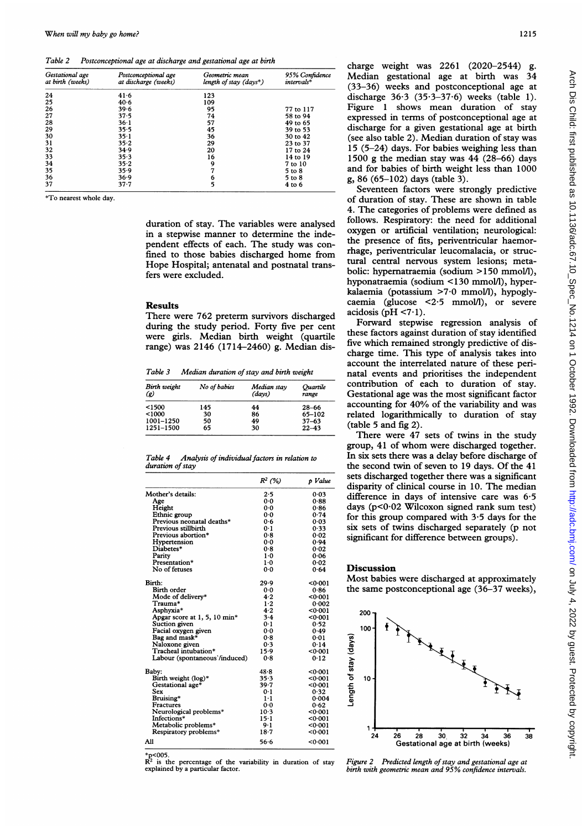Table 2 Postconceptional age at discharge and gestational age at birth

| Gestational age<br>at birth (weeks) | Postconceptional age<br>at discharge (weeks) | Geometric mean<br>length of stay $\langle$ days <sup>*</sup> ) | 95% Confidence<br>$intervals*$ |
|-------------------------------------|----------------------------------------------|----------------------------------------------------------------|--------------------------------|
| 24                                  | 41.6                                         | 123                                                            |                                |
| 25                                  | $40 - 6$                                     | 109                                                            |                                |
| 26                                  | 39.6                                         | 95                                                             | 77 to 117                      |
| 27                                  | 37.5                                         | 74                                                             | 58 to 94                       |
| 28                                  | $36 - 1$                                     | 57                                                             | 49 to 65                       |
| 29                                  | 35.5                                         | 45                                                             | 39 to 53                       |
| 30                                  | $35 - 1$                                     | 36                                                             | 30 to 42                       |
| 31                                  | 35.2                                         | 29                                                             | 23 to 37                       |
| 32                                  | 34.9                                         | 20                                                             | 17 to 24                       |
| 33                                  | 35.3                                         | 16                                                             | 14 to 19                       |
| 34                                  | 35.2                                         | 9                                                              | 7 to 10                        |
| 35                                  | 35.9                                         | 7                                                              | 5 to 8                         |
| 36                                  | 36.9                                         | 6                                                              | 5 to 8                         |
| 37                                  | 37.7                                         | 5                                                              | 4 to 6                         |

\*To nearest whole day.

duration of stay. The variables were analysed in a stepwise manner to determine the independent effects of each. The study was confined to those babies discharged home from Hope Hospital; antenatal and postnatal transfers were excluded.

#### Results

There were 762 preterm survivors discharged during the study period. Forty five per cent were girls. Median birth weight (quartile range) was 2146 (1714-2460) g. Median dis-

Table 3 Median duration of stay and birth weight

| Birth weight<br>(R) | No of babies | Median stav<br>(davs) | Ouartile<br>range |
|---------------------|--------------|-----------------------|-------------------|
| < 1500              | 145          | 44                    | $28 - 66$         |
| < 1000              | 30           | 86                    | 65-102            |
| 1001-1250           | 50           | 49                    | $37 - 63$         |
| 1251-1500           | 65           | 30                    | $22 - 43$         |

| Table 4          | Analysis of individual factors in relation to |  |  |
|------------------|-----------------------------------------------|--|--|
| duration of stay |                                               |  |  |

|                                | $R^2$ (%) | p Value |
|--------------------------------|-----------|---------|
| Mother's details:              | 2.5       | 0.03    |
| Age                            | 0.0       | 0.88    |
| Height                         | 0.0       | 0.86    |
| Ethnic group                   | 0.0       | 0.74    |
| Previous neonatal deaths*      | 0.6       | 0.03    |
| Previous stillbirth            | 0.1       | 0.33    |
| Previous abortion*             | 0.8       | 0.02    |
| Hypertension                   | 0.0       | 0.94    |
| Diabetes*                      | 0.8       | 0.02    |
| Parity                         | $1-0$     | 0.06    |
| Presentation*                  | $1-0$     | 0.02    |
| No of fetuses                  | 0.0       | 0.64    |
| Birth:                         | 29.9      | <0.001  |
| Birth order                    | 0.0       | 0.86    |
| Mode of delivery*              | 4.2       | <0.001  |
| Trauma*                        | $1-2$     | 0.002   |
| Asphyxia*                      | $4 - 2$   | <0.001  |
| Apgar score at $1, 5, 10$ min* | $3-4$     | 0.001   |
| Suction given                  | 0.1       | 0.52    |
| Facial oxygen given            | $0-0$     | 0.49    |
| Bag and mask*                  | 0.8       | 0.01    |
| Naloxone given                 | 0.3       | 0.14    |
| Tracheal intubation*           | 15.9      | 0.001   |
| Labour (spontaneous'/induced)  | 0.8       | 0.12    |
| Baby:                          | 48.8      | <0.001  |
| Birth weight (log)*            | 35.3      | <0.001  |
| Gestational age*               | 39.7      | 0.001   |
| Sex                            | 0.1       | 0.32    |
| Bruising*                      | $1 - 1$   | 0.004   |
| Fractures                      | 0.0       | 0.62    |
| Neurological problems*         | $10-3$    | 0.001   |
| Infections*                    | $15 - 1$  | 0.001   |
| Metabolic problems*            | $9-1$     | 0.001   |
| Respiratory problems*          | 18.7      | <0.001  |
| All                            | 56.6      | 0.001   |

 $*p<sub>2</sub>$  <005.<br>R<sup>2</sup>  $R<sup>2</sup>$  is the percentage of the variability in duration of stay explained by a particular factor.

charge weight was 2261 (2020-2544) g. Median gestational age at birth was 34 (33-36) weeks and postconceptional age at discharge  $36·3$   $(35·3-37·6)$  weeks (table 1). Figure <sup>1</sup> shows mean duration of stay expressed in terms of postconceptional age at discharge for a given gestational age at birth (see also table 2). Median duration of stay was 15 (5-24) days. For babies weighing less than 1500 g the median stay was 44 (28-66) days and for babies of birth weight less than 1000 g, 86 (65-102) days (table 3).

Seventeen factors were strongly predictive of duration of stay. These are shown in table 4. The categories of problems were defined as follows. Respiratory: the need for additional oxygen or artificial ventilation; neurological: the presence of fits, periventricular haemorrhage, periventricular leucomalacia, or structural central nervous system lesions; metabolic: hypernatraemia (sodium >150 mmol/l), hyponatraemia (sodium <130 mmol/l), hyperkalaemia (potassium >7 0 mmol/l), hypoglycaemia (glucose <2-5 mmoIl/), or severe acidosis (pH  $\leq$ 7.1).

Forward stepwise regression analysis of these factors against duration of stay identified five which remained strongly predictive of discharge time. This type of analysis takes into account the interrelated nature of these perinatal events and prioritises the independent contribution of each to duration of stay. Gestational age was the most significant factor accounting for 40% of the variability and was related logarithmically to duration of stay (table 5 and fig 2).

There were 47 sets of twins in the study group, 41 of whom were discharged together. In six sets there was a delay before discharge of the second twin of seven to 19 days. Of the 41 sets discharged together there was a significant disparity of clinical course in 10. The median difference in days of intensive care was 6-5 days (p<0-02 Wilcoxon signed rank sum test) for this group compared with 3-5 days for the six sets of twins discharged separately (p not significant for difference between groups).

## **Discussion**

Most babies were discharged at approximately the same postconceptional age (36-37 weeks),



Figure 2 Predicted length of stay and gestational age at birth with geometric mean and 95% confidence intervals.